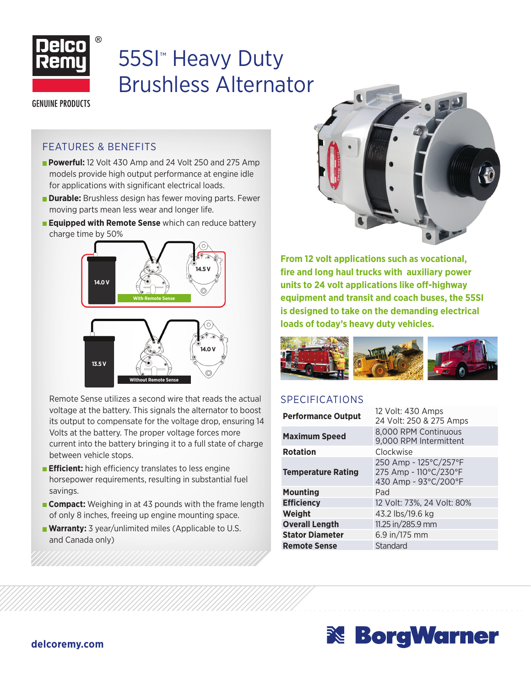

# 55SI™ Heavy Duty Brushless Alternator

**GENUINE PRODUCTS** 

#### FEATURES & BENEFITS

- **Powerful:** 12 Volt 430 Amp and 24 Volt 250 and 275 Amp models provide high output performance at engine idle for applications with significant electrical loads.
- **Durable:** Brushless design has fewer moving parts. Fewer moving parts mean less wear and longer life.
- **Equipped with Remote Sense** which can reduce battery charge time by 50%



Remote Sense utilizes a second wire that reads the actual voltage at the battery. This signals the alternator to boost its output to compensate for the voltage drop, ensuring 14 Volts at the battery. The proper voltage forces more current into the battery bringing it to a full state of charge between vehicle stops.

- **Efficient:** high efficiency translates to less engine horsepower requirements, resulting in substantial fuel savings.
- **Compact:** Weighing in at 43 pounds with the frame length of only 8 inches, freeing up engine mounting space.
- **Warranty:** 3 year/unlimited miles (Applicable to U.S. and Canada only)



**From 12 volt applications such as vocational, fire and long haul trucks with auxiliary power units to 24 volt applications like off-highway equipment and transit and coach buses, the 55SI is designed to take on the demanding electrical loads of today's heavy duty vehicles.**



#### SPECIFICATIONS

| <b>Performance Output</b> | 12 Volt: 430 Amps<br>24 Volt: 250 & 275 Amps                           |  |  |
|---------------------------|------------------------------------------------------------------------|--|--|
| <b>Maximum Speed</b>      | 8,000 RPM Continuous<br>9,000 RPM Intermittent                         |  |  |
| <b>Rotation</b>           | Clockwise                                                              |  |  |
| <b>Temperature Rating</b> | 250 Amp - 125°C/257°F<br>275 Amp - 110°C/230°F<br>430 Amp - 93°C/200°F |  |  |
| Pad<br><b>Mounting</b>    |                                                                        |  |  |
| <b>Efficiency</b>         | 12 Volt: 73%, 24 Volt: 80%                                             |  |  |
| Weight                    | 43.2 lbs/19.6 kg                                                       |  |  |
| <b>Overall Length</b>     | 11.25 in/285.9 mm                                                      |  |  |
| <b>Stator Diameter</b>    | 6.9 in/175 mm                                                          |  |  |
| <b>Remote Sense</b>       | Standard                                                               |  |  |
|                           |                                                                        |  |  |